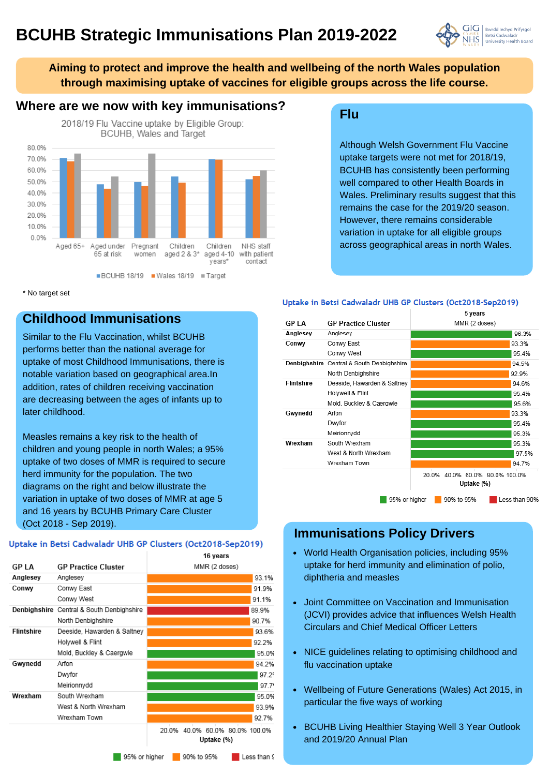# **BCUHB Strategic Immunisations Plan 2019-2022**



**Aiming to protect and improve the health and wellbeing of the north Wales population through maximising uptake of vaccines for eligible groups across the life course.**

## **Where are we now with key immunisations?**



\* No target set

## **Childhood Immunisations**

Similar to the Flu Vaccination, whilst BCUHB performs better than the national average for uptake of most Childhood Immunisations, there is notable variation based on geographical area.In addition, rates of children receiving vaccination are decreasing between the ages of infants up to later childhood.

Measles remains a key risk to the health of children and young people in north Wales; a 95% uptake of two doses of MMR is required to secure herd immunity for the population. The two diagrams on the right and below illustrate the variation in uptake of two doses of MMR at age 5 and 16 years by BCUHB Primary Care Cluster (Oct 2018 - Sep 2019).

#### Uptake in Betsi Cadwaladr UHB GP Clusters (Oct2018-Sep2019)

|                   |                                           | 16 years                                     |
|-------------------|-------------------------------------------|----------------------------------------------|
| <b>GP LA</b>      | <b>GP Practice Cluster</b>                | MMR (2 doses)                                |
| Anglesey          | Anglesey                                  | 93.1%                                        |
| Conwy             | Conwy East                                | 91.9%                                        |
|                   | Conwy West                                | 91.1%                                        |
|                   | Denbighshire Central & South Denbighshire | 89.9%                                        |
|                   | North Denbighshire                        | 90.7%                                        |
| <b>Flintshire</b> | Deeside, Hawarden & Saltney               | 93.6%                                        |
|                   | Holywell & Flint                          | 92.2%                                        |
|                   | Mold, Buckley & Caergwle                  | 95.0%                                        |
| Gwynedd           | Arfon                                     | 94.2%                                        |
|                   | Dwyfor                                    | 97.29                                        |
|                   | Meirionnydd                               | 97.7'                                        |
| Wrexham           | South Wrexham                             | 95.0%                                        |
|                   | West & North Wrexham                      | 93.9%                                        |
|                   | Wrexham Town                              | 92.7%                                        |
|                   |                                           | 20.0% 40.0% 60.0% 80.0% 100.0%<br>Uptake (%) |
|                   | 95% or higher                             | 90% to 95%<br>Less than 9                    |

#### **Flu**

Although Welsh Government Flu Vaccine uptake targets were not met for 2018/19, BCUHB has consistently been performing well compared to other Health Boards in Wales. Preliminary results suggest that this remains the case for the 2019/20 season. However, there remains considerable variation in uptake for all eligible groups across geographical areas in north Wales.

#### Uptake in Betsi Cadwaladr UHB GP Clusters (Oct2018-Sep2019)

|                   |                                           | 5 years                                         |
|-------------------|-------------------------------------------|-------------------------------------------------|
| <b>GP LA</b>      | <b>GP Practice Cluster</b>                | MMR (2 doses)                                   |
| Anglesey          | Anglesey                                  | 96.3%                                           |
| Conwy             | Conwy East                                | 93.3%                                           |
|                   | Conwy West                                | 95.4%                                           |
|                   | Denbighshire Central & South Denbighshire | 94.5%                                           |
|                   | North Denbighshire                        | 92.9%                                           |
| <b>Flintshire</b> | Deeside, Hawarden & Saltney               | 94.6%                                           |
|                   | Holywell & Flint                          | 95.4%                                           |
|                   | Mold, Buckley & Caergwle                  | 95.6%                                           |
| Gwynedd           | Arfon                                     | 93.3%                                           |
|                   | Dwyfor                                    | 95.4%                                           |
|                   | Meirionnydd                               | 95.3%                                           |
| Wrexham           | South Wrexham                             | 95.3%                                           |
|                   | West & North Wrexham                      | 97.5%                                           |
|                   | Wrexham Town                              | 94.7%                                           |
|                   |                                           | 40.0% 60.0% 80.0% 100.0%<br>20.0%<br>Uptake (%) |
|                   | 95% or higher                             | 90% to 95%<br>Less than 90%                     |

## **Immunisations Policy Drivers**

- World Health Organisation policies, including 95% uptake for herd immunity and elimination of polio, diphtheria and measles
- Joint Committee on Vaccination and Immunisation (JCVI) provides advice that influences Welsh Health Circulars and Chief Medical Officer Letters
- NICE guidelines relating to optimising childhood and flu vaccination uptake
- Wellbeing of Future Generations (Wales) Act 2015, in particular the five ways of working
- BCUHB Living Healthier Staying Well 3 Year Outlook and 2019/20 Annual Plan